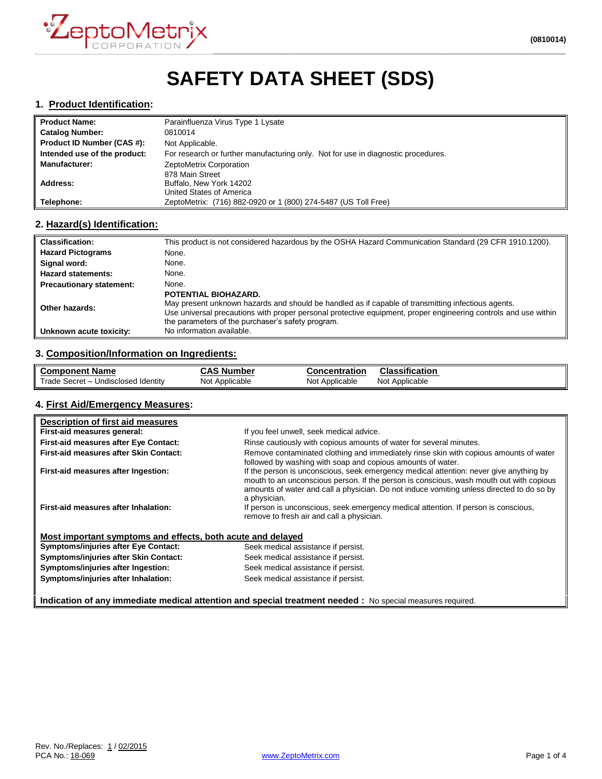

# **SAFETY DATA SHEET (SDS)**

#### **1. Product Identification:**

| <b>Product Name:</b>         | Parainfluenza Virus Type 1 Lysate                                                 |
|------------------------------|-----------------------------------------------------------------------------------|
| <b>Catalog Number:</b>       | 0810014                                                                           |
| Product ID Number (CAS #):   | Not Applicable.                                                                   |
| Intended use of the product: | For research or further manufacturing only. Not for use in diagnostic procedures. |
| <b>Manufacturer:</b>         | ZeptoMetrix Corporation                                                           |
|                              | 878 Main Street                                                                   |
| Address:                     | Buffalo, New York 14202                                                           |
|                              | United States of America                                                          |
| Telephone:                   | ZeptoMetrix: (716) 882-0920 or 1 (800) 274-5487 (US Toll Free)                    |

#### **2. Hazard(s) Identification:**

| <b>Classification:</b>          | This product is not considered hazardous by the OSHA Hazard Communication Standard (29 CFR 1910.1200).                                                                                                                                                                                             |
|---------------------------------|----------------------------------------------------------------------------------------------------------------------------------------------------------------------------------------------------------------------------------------------------------------------------------------------------|
| <b>Hazard Pictograms</b>        | None.                                                                                                                                                                                                                                                                                              |
| Signal word:                    | None.                                                                                                                                                                                                                                                                                              |
| <b>Hazard statements:</b>       | None.                                                                                                                                                                                                                                                                                              |
| <b>Precautionary statement:</b> | None.                                                                                                                                                                                                                                                                                              |
| Other hazards:                  | POTENTIAL BIOHAZARD.<br>May present unknown hazards and should be handled as if capable of transmitting infectious agents.<br>Use universal precautions with proper personal protective equipment, proper engineering controls and use within<br>the parameters of the purchaser's safety program. |
| Unknown acute toxicity:         | No information available.                                                                                                                                                                                                                                                                          |

# **3. Composition/Information on Ingredients:**

| ll Component Name                   | <b>CAS Number</b> | Concentration  | <b>Classification</b> |
|-------------------------------------|-------------------|----------------|-----------------------|
| Trade Secret - Undisclosed Identity | Not Applicable    | Not Applicable | Not Applicable        |

#### **4. First Aid/Emergency Measures:**

| Description of first aid measures                           |                                                                                                                                                                                                                                                                                                |
|-------------------------------------------------------------|------------------------------------------------------------------------------------------------------------------------------------------------------------------------------------------------------------------------------------------------------------------------------------------------|
| First-aid measures general:                                 | If you feel unwell, seek medical advice.                                                                                                                                                                                                                                                       |
| First-aid measures after Eye Contact:                       | Rinse cautiously with copious amounts of water for several minutes.                                                                                                                                                                                                                            |
| First-aid measures after Skin Contact:                      | Remove contaminated clothing and immediately rinse skin with copious amounts of water<br>followed by washing with soap and copious amounts of water.                                                                                                                                           |
| First-aid measures after Ingestion:                         | If the person is unconscious, seek emergency medical attention: never give anything by<br>mouth to an unconscious person. If the person is conscious, wash mouth out with copious<br>amounts of water and call a physician. Do not induce vomiting unless directed to do so by<br>a physician. |
| First-aid measures after Inhalation:                        | If person is unconscious, seek emergency medical attention. If person is conscious,<br>remove to fresh air and call a physician.                                                                                                                                                               |
| Most important symptoms and effects, both acute and delayed |                                                                                                                                                                                                                                                                                                |
| <b>Symptoms/injuries after Eye Contact:</b>                 | Seek medical assistance if persist.                                                                                                                                                                                                                                                            |
| Symptoms/injuries after Skin Contact:                       | Seek medical assistance if persist.                                                                                                                                                                                                                                                            |
| Symptoms/injuries after Ingestion:                          | Seek medical assistance if persist.                                                                                                                                                                                                                                                            |
| Symptoms/injuries after Inhalation:                         | Seek medical assistance if persist.                                                                                                                                                                                                                                                            |
|                                                             | Indication of any immediate medical attention and special treatment needed : No special measures required.                                                                                                                                                                                     |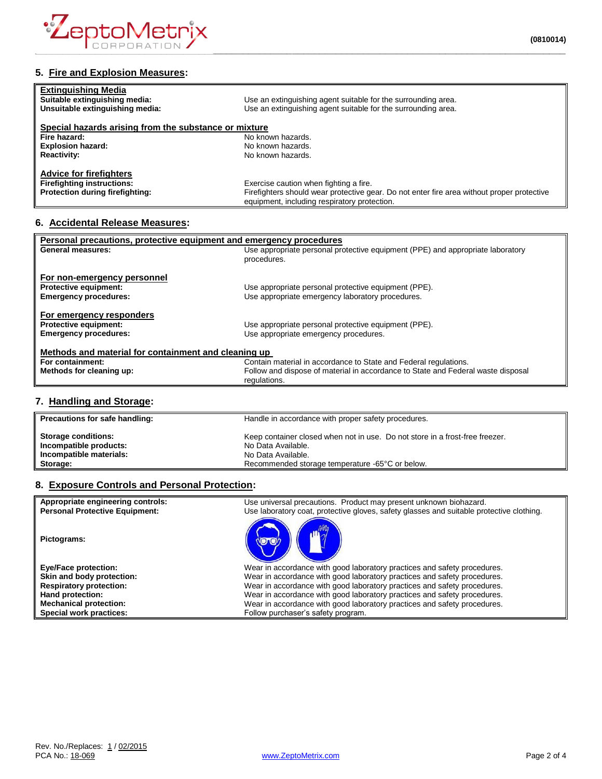

## **5. Fire and Explosion Measures:**

| <b>Extinguishing Media</b><br>Suitable extinguishing media:<br>Unsuitable extinguishing media: | Use an extinguishing agent suitable for the surrounding area.<br>Use an extinguishing agent suitable for the surrounding area. |
|------------------------------------------------------------------------------------------------|--------------------------------------------------------------------------------------------------------------------------------|
| Special hazards arising from the substance or mixture                                          |                                                                                                                                |
| Fire hazard:                                                                                   | No known hazards.                                                                                                              |
| <b>Explosion hazard:</b>                                                                       | No known hazards.                                                                                                              |
| <b>Reactivity:</b>                                                                             | No known hazards.                                                                                                              |
| <b>Advice for firefighters</b>                                                                 |                                                                                                                                |
| <b>Firefighting instructions:</b>                                                              | Exercise caution when fighting a fire.                                                                                         |
| Protection during firefighting:                                                                | Firefighters should wear protective gear. Do not enter fire area without proper protective                                     |
|                                                                                                | equipment, including respiratory protection.                                                                                   |

### **6. Accidental Release Measures:**

| Personal precautions, protective equipment and emergency procedures |                                                                                  |  |
|---------------------------------------------------------------------|----------------------------------------------------------------------------------|--|
| <b>General measures:</b>                                            | Use appropriate personal protective equipment (PPE) and appropriate laboratory   |  |
|                                                                     | procedures.                                                                      |  |
|                                                                     |                                                                                  |  |
| For non-emergency personnel                                         |                                                                                  |  |
| <b>Protective equipment:</b>                                        | Use appropriate personal protective equipment (PPE).                             |  |
| <b>Emergency procedures:</b>                                        | Use appropriate emergency laboratory procedures.                                 |  |
|                                                                     |                                                                                  |  |
| For emergency responders                                            |                                                                                  |  |
| <b>Protective equipment:</b>                                        | Use appropriate personal protective equipment (PPE).                             |  |
| <b>Emergency procedures:</b>                                        | Use appropriate emergency procedures.                                            |  |
|                                                                     |                                                                                  |  |
| Methods and material for containment and cleaning up                |                                                                                  |  |
| For containment:                                                    | Contain material in accordance to State and Federal regulations.                 |  |
| Methods for cleaning up:                                            | Follow and dispose of material in accordance to State and Federal waste disposal |  |
|                                                                     | regulations.                                                                     |  |
|                                                                     |                                                                                  |  |
|                                                                     |                                                                                  |  |

### **7. Handling and Storage:**

| Precautions for safe handling: | Handle in accordance with proper safety procedures.                          |  |
|--------------------------------|------------------------------------------------------------------------------|--|
| <b>Storage conditions:</b>     | Keep container closed when not in use. Do not store in a frost-free freezer. |  |
| Incompatible products:         | No Data Available.                                                           |  |
| Incompatible materials:        | No Data Available.                                                           |  |
| Storage:                       | Recommended storage temperature -65°C or below.                              |  |

### **8. Exposure Controls and Personal Protection:**

| Appropriate engineering controls:     | Use universal precautions. Product may present unknown biohazard.                        |
|---------------------------------------|------------------------------------------------------------------------------------------|
| <b>Personal Protective Equipment:</b> | Use laboratory coat, protective gloves, safety glasses and suitable protective clothing. |
| Pictograms:                           |                                                                                          |
| <b>Eye/Face protection:</b>           | Wear in accordance with good laboratory practices and safety procedures.                 |
| Skin and body protection:             | Wear in accordance with good laboratory practices and safety procedures.                 |
| <b>Respiratory protection:</b>        | Wear in accordance with good laboratory practices and safety procedures.                 |
| Hand protection:                      | Wear in accordance with good laboratory practices and safety procedures.                 |
| <b>Mechanical protection:</b>         | Wear in accordance with good laboratory practices and safety procedures.                 |
| Special work practices:               | Follow purchaser's safety program.                                                       |
|                                       |                                                                                          |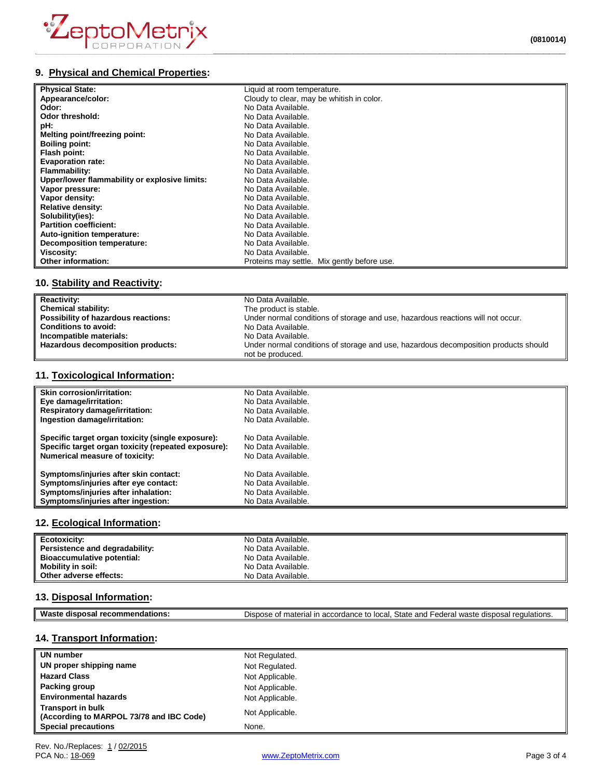

# **9. Physical and Chemical Properties:**

| <b>Physical State:</b>                        | Liquid at room temperature.                 |
|-----------------------------------------------|---------------------------------------------|
| Appearance/color:                             | Cloudy to clear, may be whitish in color.   |
| Odor:                                         | No Data Available.                          |
| Odor threshold:                               | No Data Available.                          |
| pH:                                           | No Data Available.                          |
| Melting point/freezing point:                 | No Data Available.                          |
| <b>Boiling point:</b>                         | No Data Available.                          |
| Flash point:                                  | No Data Available.                          |
| <b>Evaporation rate:</b>                      | No Data Available.                          |
| Flammability:                                 | No Data Available.                          |
| Upper/lower flammability or explosive limits: | No Data Available.                          |
| Vapor pressure:                               | No Data Available.                          |
| Vapor density:                                | No Data Available.                          |
| <b>Relative density:</b>                      | No Data Available.                          |
| Solubility(ies):                              | No Data Available.                          |
| <b>Partition coefficient:</b>                 | No Data Available.                          |
| Auto-ignition temperature:                    | No Data Available.                          |
| Decomposition temperature:                    | No Data Available.                          |
| Viscosity:                                    | No Data Available.                          |
| <b>Other information:</b>                     | Proteins may settle. Mix gently before use. |

# **10. Stability and Reactivity:**

| <b>Reactivity:</b>                  | No Data Available.                                                                  |
|-------------------------------------|-------------------------------------------------------------------------------------|
| <b>Chemical stability:</b>          | The product is stable.                                                              |
| Possibility of hazardous reactions: | Under normal conditions of storage and use, hazardous reactions will not occur.     |
| <b>Conditions to avoid:</b>         | No Data Available.                                                                  |
| Incompatible materials:             | No Data Available.                                                                  |
| Hazardous decomposition products:   | Under normal conditions of storage and use, hazardous decomposition products should |
|                                     | not be produced.                                                                    |

## **11. Toxicological Information:**

| <b>Skin corrosion/irritation:</b>                   | No Data Available. |
|-----------------------------------------------------|--------------------|
| Eye damage/irritation:                              | No Data Available. |
| <b>Respiratory damage/irritation:</b>               | No Data Available. |
| Ingestion damage/irritation:                        | No Data Available. |
| Specific target organ toxicity (single exposure):   | No Data Available. |
| Specific target organ toxicity (repeated exposure): | No Data Available. |
| Numerical measure of toxicity:                      | No Data Available. |
| Symptoms/injuries after skin contact:               | No Data Available. |
| Symptoms/injuries after eye contact:                | No Data Available. |
| Symptoms/injuries after inhalation:                 | No Data Available. |
| Symptoms/injuries after ingestion:                  | No Data Available. |

### **12. Ecological Information:**

| Ecotoxicity:                      | No Data Available. |
|-----------------------------------|--------------------|
| Persistence and degradability:    | No Data Available. |
| <b>Bioaccumulative potential:</b> | No Data Available. |
| Mobility in soil:                 | No Data Available. |
| Other adverse effects:            | No Data Available. |

## **13. Disposal Information:**

| Mae<br>aisnos.<br>эл.<br>טו | State<br>local<br>and<br><b>Dispose</b><br>$-0$ dorc<br>$\mathbf{r}$<br>$\sim$<br>dich<br>$\overline{a}$<br>$11100 + 4$<br>'ıal ır<br>13 C<br>organ<br>ււա<br>euulallulis.<br>wd.<br>15 I t<br>euerar<br>аιен<br>dч.<br>นเจมบะ<br>. .<br>. . |
|-----------------------------|----------------------------------------------------------------------------------------------------------------------------------------------------------------------------------------------------------------------------------------------|
|                             |                                                                                                                                                                                                                                              |

# **14. Transport Information:**

| <b>UN number</b>                                                     | Not Regulated.  |
|----------------------------------------------------------------------|-----------------|
| UN proper shipping name                                              | Not Regulated.  |
| <b>Hazard Class</b>                                                  | Not Applicable. |
| <b>Packing group</b>                                                 | Not Applicable. |
| <b>Environmental hazards</b>                                         | Not Applicable. |
| <b>Transport in bulk</b><br>(According to MARPOL 73/78 and IBC Code) | Not Applicable. |
| <b>Special precautions</b>                                           | None.           |